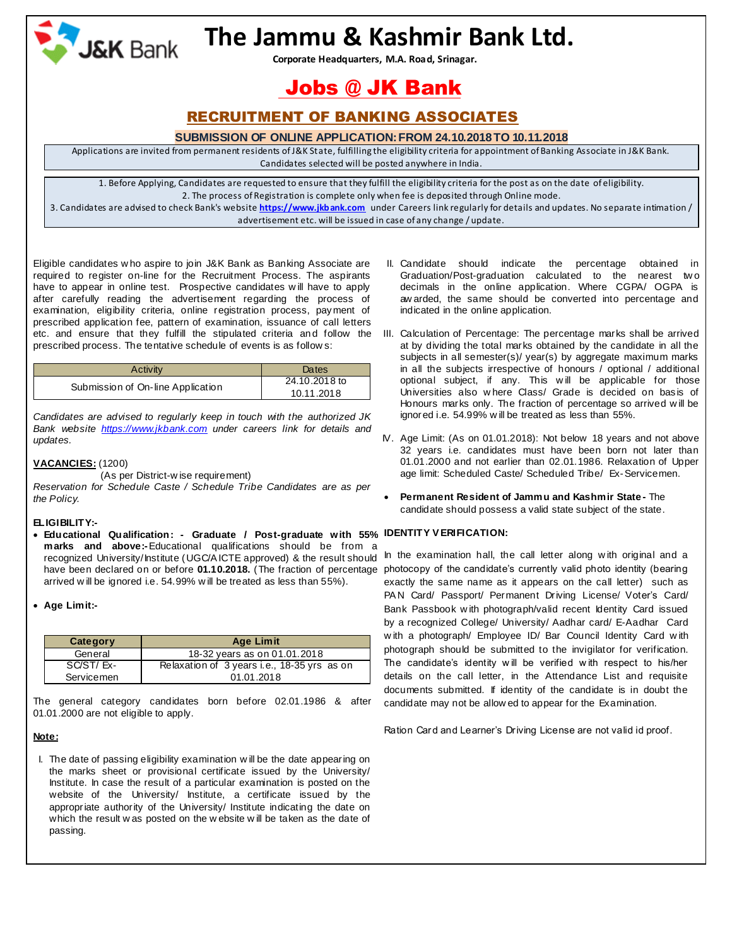

# **The Jammu & Kashmir Bank Ltd.**

 **Corporate Headquarters, M.A. Road, Srinagar.**

## Jobs @ JK Bank

### RECRUITMENT OF BANKING ASSOCIATES

#### **SUBMISSION OF ONLINE APPLICATION:FROM 24.10.2018TO 10.11.2018**

Applications are invited from permanent residents of J&K State, fulfilling the eligibility criteria for appointment of Banking Associate in J&K Bank.

Candidates selected will be posted anywhere in India.

1. Before Applying, Candidates are requested to ensure that they fulfill the eligibility criteria for the post as on the date of eligibility. 2. The process of Registration is complete only when fee is deposited through Online mode.

3. Candidates are advised to check Bank's website **https://www.jkbank.com** under Careers link regularly for details and updates. No separate intimation / advertisement etc. will be issued in case of any change / update.

Eligible candidates w ho aspire to join J&K Bank as Banking Associate are required to register on-line for the Recruitment Process. The aspirants have to appear in online test. Prospective candidates w ill have to apply after carefully reading the advertisement regarding the process of examination, eligibility criteria, online registration process, payment of prescribed application fee, pattern of examination, issuance of call letters etc. and ensure that they fulfill the stipulated criteria and follow the III. Calculation of Percentage: The percentage marks shall be arrived prescribed process. The tentative schedule of events is as follow s:

| Activity                          | Dates         |
|-----------------------------------|---------------|
| Submission of On-line Application | 24.10.2018 to |
|                                   | 10.11.2018    |

*Candidates are advised to regularly keep in touch with the authorized JK Bank website [https://www.jkbank.com](https://www.jkbank.com/) under careers link for details and updates.* 

### **VACANCIES:** (1200)

(As per District-w ise requirement)

*Reservation for Schedule Caste / Schedule Tribe Candidates are as per the Policy.*

#### **ELIGIBILITY:-**

- **Educational Qualification: - Graduate / Post-graduate with 55% IDENTITY V ERIFICATION: marks and above:-**Educational qualifications should be from a recognized University/Institute (UGC/A ICTE approved) & the result should have been declared on or before 01.10.2018. (The fraction of percentage photocopy of the candidate's currently valid photo identity (bearing arrived w ill be ignored i.e. 54.99% w ill be treated as less than 55%).
- **Age Limit:-**

| Category   | <b>Age Limit</b>                            |
|------------|---------------------------------------------|
| General    | 18-32 years as on 01.01.2018                |
| SC/ST/Ex-  | Relaxation of 3 years i.e., 18-35 yrs as on |
| Servicemen | 01.01.2018                                  |

The general category candidates born before 02.01.1986 & after 01.01.2000 are not eligible to apply.

#### **Note:**

I. The date of passing eligibility examination w ill be the date appearing on the marks sheet or provisional certificate issued by the University/ Institute. In case the result of a particular examination is posted on the website of the University/ Institute, a certificate issued by the appropriate authority of the University/ Institute indicating the date on which the result w as posted on the w ebsite w ill be taken as the date of passing.

- II. Candidate should indicate the percentage obtained in Graduation/Post-graduation calculated to the nearest tw o decimals in the online application. Where CGPA/ OGPA is aw arded, the same should be converted into percentage and indicated in the online application.
- at by dividing the total marks obtained by the candidate in all the subjects in all semester(s)/ year(s) by aggregate maximum marks in all the subjects irrespective of honours / optional / additional optional subject, if any. This w ill be applicable for those Universities also w here Class/ Grade is decided on basis of Honours marks only. The fraction of percentage so arrived w ill be ignored i.e. 54.99% w ill be treated as less than 55%.
- IV. Age Limit: (As on 01.01.2018): Not below 18 years and not above 32 years i.e. candidates must have been born not later than 01.01.2000 and not earlier than 02.01.1986. Relaxation of Upper age limit: Scheduled Caste/ Scheduled Tribe/ Ex-Servicemen.
- **Permanent Resident of Jammu and Kashmir State-** The candidate should possess a valid state subject of the state.

In the examination hall, the call letter along w ith original and a exactly the same name as it appears on the call letter) such as PAN Card/ Passport/ Permanent Driving License/ Voter's Card/ Bank Passbook w ith photograph/valid recent Identity Card issued by a recognized College/ University/ Aadhar card/ E-Aadhar Card w ith a photograph/ Employee ID/ Bar Council Identity Card w ith photograph should be submitted to the invigilator for verification. The candidate's identity w ill be verified w ith respect to his/her details on the call letter, in the Attendance List and requisite documents submitted. If identity of the candidate is in doubt the candidate may not be allow ed to appear for the Examination.

Ration Card and Learner's Driving License are not valid id proof.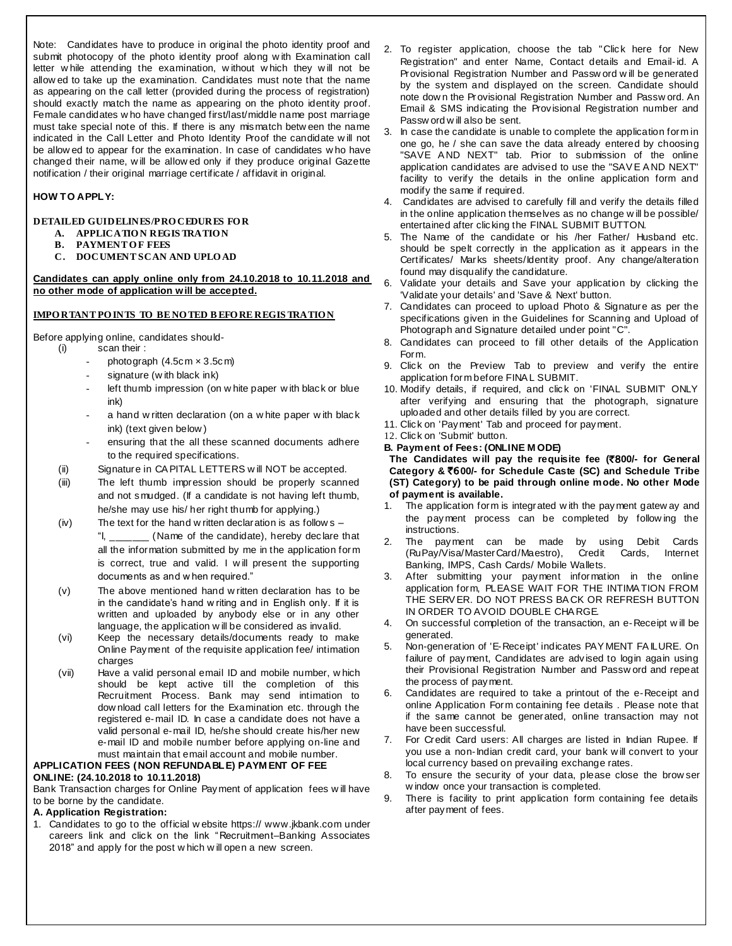Note: Candidates have to produce in original the photo identity proof and submit photocopy of the photo identity proof along w ith Examination call letter w hile attending the examination, w ithout w hich they w ill not be allow ed to take up the examination. Candidates must note that the name as appearing on the call letter (provided during the process of registration) should exactly match the name as appearing on the photo identity proof. Female candidates w ho have changed first/last/middle name post marriage must take special note of this. If there is any mismatch betw een the name indicated in the Call Letter and Photo Identity Proof the candidate w ill not be allow ed to appear for the examination. In case of candidates w ho have changed their name, w ill be allow ed only if they produce original Gazette notification / their original marriage certificate / affidavit in original.

### **HOW TO APPLY:**

#### **DETAILED GUIDELINES/PRO CEDURES FO R A. APPLICATIO N REGIS TRATIO N**

- **B. PAYMENT OF FEES**
- **C. DOCUMENT SCAN AND UPLO AD**

**Candidates can apply online only from 24.10.2018 to 10.11.2018 and no other mode of application will be accepted.**

#### **IMPO RTANT PO INTS TO BE NO TED B EFO RE REGIS TRATIO N**

Before applying online, candidates should-<br>(i) scan their:

- $\frac{1}{2}$  scan their :
	- photograph  $(4.5cm \times 3.5cm)$
	- signature (with black ink)
	- left thumb impression (on w hite paper w ith black or blue ink)
	- a hand w ritten declaration (on a w hite paper w ith black ink) (text given below )
	- ensuring that the all these scanned documents adhere to the required specifications.
- (ii) Signature in CA PITAL LETTERS w ill NOT be accepted.
- (iii) The left thumb impression should be properly scanned and not smudged. (If a candidate is not having left thumb, he/she may use his/ her right thumb for applying.)
- (iv) The text for the hand w ritten declaration is as follow s "I, \_\_\_\_\_\_\_ (Name of the candidate), hereby declare that all the information submitted by me in the application form is correct, true and valid. I w ill present the supporting documents as and w hen required."
- (v) The above mentioned hand w ritten declaration has to be in the candidate's hand w riting and in English only. If it is written and uploaded by anybody else or in any other language, the application w ill be considered as invalid.
- (vi) Keep the necessary details/documents ready to make Online Payment of the requisite application fee/ intimation charges
- (vii) Have a valid personal email ID and mobile number, w hich should be kept active till the completion of this Recruitment Process. Bank may send intimation to dow nload call letters for the Examination etc. through the registered e-mail ID. In case a candidate does not have a valid personal e-mail ID, he/she should create his/her new e-mail ID and mobile number before applying on-line and must maintain that email account and mobile number.

#### **APPLICATION FEES (NON REFUNDABLE) PAYM ENT OF FEE ONLINE: (24.10.2018 to 10.11.2018)**

Bank Transaction charges for Online Payment of application fees w ill have to be borne by the candidate.

#### **A. Application Registration:**

1. Candidates to go to the official w ebsite https:// www.jkbank.com under careers link and click on the link "Recruitment–Banking Associates 2018" and apply for the post w hich w ill open a new screen.

- 2. To register application, choose the tab "Click here for New Registration" and enter Name, Contact details and Email-id. A Provisional Registration Number and Passw ord w ill be generated by the system and displayed on the screen. Candidate should note dow n the Provisional Registration Number and Passw ord. An Email & SMS indicating the Provisional Registration number and Passw ord w ill also be sent.
- 3. In case the candidate is unable to complete the application form in one go, he / she can save the data already entered by choosing "SAVE A ND NEXT" tab. Prior to submission of the online application candidates are advised to use the "SAV E A ND NEXT" facility to verify the details in the online application form and modify the same if required.
- 4. Candidates are advised to carefully fill and verify the details filled in the online application themselves as no change w ill be possible/ entertained after clicking the FINAL SUBMIT BUTTON.
- 5. The Name of the candidate or his /her Father/ Husband etc. should be spelt correctly in the application as it appears in the Certificates/ Marks sheets/Identity proof. Any change/alteration found may disqualify the candidature.
- 6. Validate your details and Save your application by clicking the 'Validate your details' and 'Save & Next' button.
- 7. Candidates can proceed to upload Photo & Signature as per the specifications given in the Guidelines for Scanning and Upload of Photograph and Signature detailed under point "C".
- 8. Candidates can proceed to fill other details of the Application Form.
- 9. Click on the Preview Tab to preview and verify the entire application form before FINA L SUBMIT.
- 10. Modify details, if required, and click on 'FINAL SUBMIT' ONLY after verifying and ensuring that the photograph, signature uploaded and other details filled by you are correct.
- 11. Click on 'Payment' Tab and proceed for payment.
- 12. Click on 'Submit' button.
- **B. Payment of Fees: (ONLINE M ODE)**

**The Candidates will pay the requisite fee (**`8**00/- for General Category &** `6**00/- for Schedule Caste (SC) and Schedule Tribe (ST) Category) to be paid through online mode. No other Mode of payment is available.**

- 1. The application form is integrated w ith the payment gatew ay and the payment process can be completed by follow ing the instructions.
- 2. The payment can be made by using Debit Cards (RuPay/Visa/MasterCard/Maestro), Credit Cards, Internet Banking, IMPS, Cash Cards/ Mobile Wallets.
- After submitting your payment information in the online application form, PLEASE WAIT FOR THE INTIMA TION FROM THE SERV ER. DO NOT PRESS BA CK OR REFRESH BUTTON IN ORDER TO AVOID DOUBLE CHA RGE.
- 4. On successful completion of the transaction, an e-Receipt w ill be generated.
- 5. Non-generation of 'E-Receipt' indicates PAY MENT FA ILURE. On failure of payment, Candidates are advised to login again using their Provisional Registration Number and Passw ord and repeat the process of payment.
- 6. Candidates are required to take a printout of the e-Receipt and online Application Form containing fee details . Please note that if the same cannot be generated, online transaction may not have been successful.
- 7. For Credit Card users: All charges are listed in Indian Rupee. If you use a non-Indian credit card, your bank w ill convert to your local currency based on prevailing exchange rates.
- 8. To ensure the security of your data, please close the brow ser w indow once your transaction is completed.
- 9. There is facility to print application form containing fee details after payment of fees.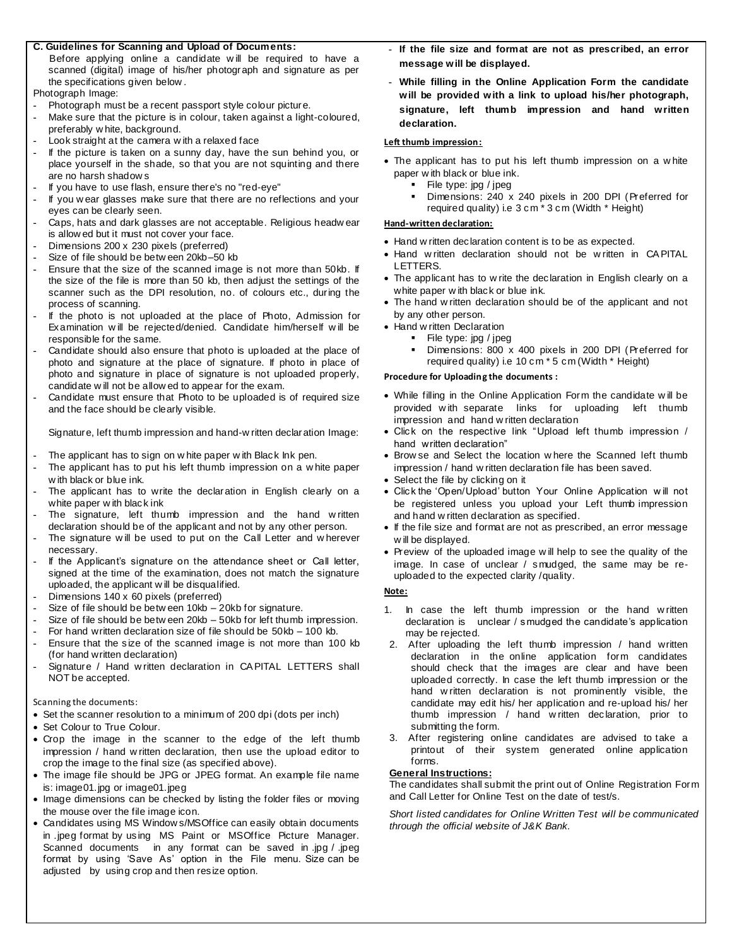#### **C. Guidelines for Scanning and Upload of Documents:**

 Before applying online a candidate w ill be required to have a scanned (digital) image of his/her photograph and signature as per the specifications given below .

Photograph Image:

- **-** Photograph must be a recent passport style colour picture.
- **-** Make sure that the picture is in colour, taken against a light-coloured, preferably w hite, background.
- **-** Look straight at the camera w ith a relaxed face
- **-** If the picture is taken on a sunny day, have the sun behind you, or place yourself in the shade, so that you are not squinting and there are no harsh shadow s
- **-** If you have to use flash, ensure there's no "red-eye"
- **-** If you w ear glasses make sure that there are no reflections and your eyes can be clearly seen.
- **-** Caps, hats and dark glasses are not acceptable. Religious headw ear is allow ed but it must not cover your face.
- **-** Dimensions 200 x 230 pixels (preferred)
- **-** Size of file should be betw een 20kb–50 kb
- **-** Ensure that the size of the scanned image is not more than 50kb. If the size of the file is more than 50 kb, then adjust the settings of the scanner such as the DPI resolution, no. of colours etc., during the process of scanning.
- **-** If the photo is not uploaded at the place of Photo, Admission for Examination w ill be rejected/denied. Candidate him/herself w ill be responsible for the same.
- **-** Candidate should also ensure that photo is uploaded at the place of photo and signature at the place of signature. If photo in place of photo and signature in place of signature is not uploaded properly, candidate w ill not be allow ed to appear for the exam.
- **-** Candidate must ensure that Photo to be uploaded is of required size and the face should be clearly visible.

Signature, left thumb impression and hand-w ritten declaration Image:

- **-** The applicant has to sign on w hite paper w ith Black Ink pen.
- **-** The applicant has to put his left thumb impression on a w hite paper w ith black or blue ink.
- The applicant has to write the declaration in English clearly on a white paper w ith black ink
- **-** The signature, left thumb impression and the hand w ritten declaration should be of the applicant and not by any other person.
- **-** The signature w ill be used to put on the Call Letter and w herever necessary.
- **-** If the Applicant's signature on the attendance sheet or Call letter, signed at the time of the examination, does not match the signature uploaded, the applicant w ill be disqualified.
- **-** Dimensions 140 x 60 pixels (preferred)
- **-** Size of file should be betw een 10kb 20kb for signature.
- **-** Size of file should be betw een 20kb 50kb for left thumb impression.
- **-** For hand written declaration size of file should be 50kb 100 kb.
- **-** Ensure that the size of the scanned image is not more than 100 kb (for hand written declaration)
- **-** Signature / Hand w ritten declaration in CA PITAL LETTERS shall NOT be accepted.

Scanning the documents:

- Set the scanner resolution to a minimum of 200 dpi (dots per inch)
- Set Colour to True Colour.
- Crop the image in the scanner to the edge of the left thumb impression / hand w ritten declaration, then use the upload editor to crop the image to the final size (as specified above).
- The image file should be JPG or JPEG format. An example file name is: image01.jpg or image01.jpeg
- Image dimensions can be checked by listing the folder files or moving the mouse over the file image icon.
- Candidates using MS Window s/MSOffice can easily obtain documents in .jpeg format by using MS Paint or MSOffice Picture Manager. Scanned documents in any format can be saved in .jpg / .jpeg format by using 'Save As' option in the File menu. Size can be adjusted by using crop and then resize option.
- **- If the file size and format are not as prescribed, an error message will be displayed.**
- **- While filling in the Online Application Form the candidate will be provided with a link to upload his/her photograph, signature, left thumb impression and hand written declaration.**

#### **Left thumb impression:**

- The applicant has to put his left thumb impression on a w hite paper w ith black or blue ink.
	- File type: jpg / jpeg
	- Dimensions: 240 x 240 pixels in 200 DPI (Preferred for required quality) i.e 3 cm \* 3 cm (Width \* Height)

#### **Hand-written declaration:**

- Hand w ritten declaration content is to be as expected.
- Hand w ritten declaration should not be w ritten in CA PITAL LETTERS.
- The applicant has to w rite the declaration in English clearly on a white paper w ith black or blue ink.
- The hand w ritten declaration should be of the applicant and not by any other person.
- Hand w ritten Declaration
	- $\blacksquare$  File type: jpg / jpeg
	- Dimensions: 800 x 400 pixels in 200 DPI (Preferred for required quality) i.e 10 cm \* 5 cm (Width \* Height)

#### **Procedure for Uploading the documents :**

- While filling in the Online Application Form the candidate w ill be provided w ith separate links for uploading left thumb impression and hand w ritten declaration
- Click on the respective link "Upload left thumb impression / hand written declaration"
- Brow se and Select the location where the Scanned left thumb impression / hand w ritten declaration file has been saved.
- Select the file by clicking on it
- Click the 'Open/Upload' button Your Online Application w ill not be registered unless you upload your Left thumb impression and hand w ritten declaration as specified.
- If the file size and format are not as prescribed, an error message w ill be displayed.
- Preview of the uploaded image w ill help to see the quality of the image. In case of unclear / smudged, the same may be reuploaded to the expected clarity /quality.

#### **Note:**

- 1. In case the left thumb impression or the hand w ritten declaration is unclear / smudged the candidate's application may be rejected.
- 2. After uploading the left thumb impression / hand written declaration in the online application form candidates should check that the images are clear and have been uploaded correctly. In case the left thumb impression or the hand w ritten declaration is not prominently visible, the candidate may edit his/ her application and re-upload his/ her thumb impression / hand w ritten declaration, prior to submitting the form.
- 3. After registering online candidates are advised to take a printout of their system generated online application forms.

#### **General Instructions:**

The candidates shall submit the print out of Online Registration Form and Call Letter for Online Test on the date of test/s.

*Short listed candidates for Online Written Test will be communicated through the official website of J&K Bank.*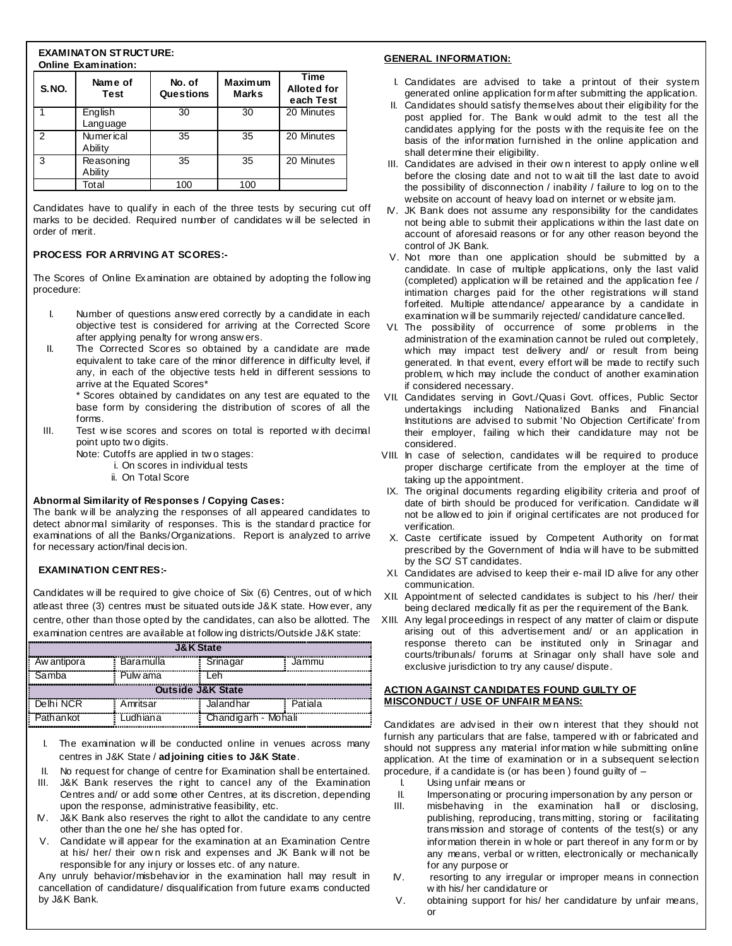#### **EXAMINATON STRUCTURE: Online Examination:**

| <b>S.NO.</b> | Name of<br><b>Test</b>      | No. of<br>Questions | <b>Maximum</b><br><b>Marks</b> | <b>Time</b><br><b>Alloted for</b><br>each Test |
|--------------|-----------------------------|---------------------|--------------------------------|------------------------------------------------|
|              | English<br>Language         | 30                  | 30                             | 20 Minutes                                     |
| 2            | <b>Numerical</b><br>Ability | 35                  | 35                             | 20 Minutes                                     |
| 3            | Reasoning<br>Ability        | 35                  | 35                             | 20 Minutes                                     |
|              | Total                       | 100                 | 100                            |                                                |

Candidates have to qualify in each of the three tests by securing cut off marks to be decided. Required number of candidates w ill be selected in order of merit.

#### **PROCESS FOR ARRIVING AT SCORES:-**

The Scores of Online Examination are obtained by adopting the follow ing procedure:

- I. Number of questions answ ered correctly by a candidate in each objective test is considered for arriving at the Corrected Score after applying penalty for wrong answ ers.
- II. The Corrected Scores so obtained by a candidate are made equivalent to take care of the minor difference in difficulty level, if any, in each of the objective tests held in different sessions to arrive at the Equated Scores\*

\* Scores obtained by candidates on any test are equated to the base form by considering the distribution of scores of all the forms.

- III. Test w ise scores and scores on total is reported w ith decimal point upto tw o digits.
	- Note: Cutoffs are applied in tw o stages:
		- i. On scores in individual tests
		- ii. On Total Score

#### **Abnormal Similarity of Responses / Copying Cases:**

The bank w ill be analyzing the responses of all appeared candidates to detect abnormal similarity of responses. This is the standard practice for examinations of all the Banks/Organizations. Report is analyzed to arrive for necessary action/final decision.

#### **EXAMINATION CENTRES:-**

Candidates w ill be required to give choice of Six (6) Centres, out of w hich atleast three (3) centres must be situated outside J&K state. How ever, any centre, other than those opted by the candidates, can also be allotted. The XIII. Any legal proceedings in respect of any matter of claim or dispute examination centres are available at follow ing districts/Outside J&K state:

| <b>J&amp;K State</b> |           |           |         |  |  |  |
|----------------------|-----------|-----------|---------|--|--|--|
| Aw antipora          | Baramulla | Srinagar  | Jammu   |  |  |  |
| Samba                | Pulw ama  | l eh      |         |  |  |  |
| Outside J&K State    |           |           |         |  |  |  |
|                      |           |           |         |  |  |  |
| Delhi NCR            | Amritsar  | Jalandhar | Patiala |  |  |  |

- I. The examination w ill be conducted online in venues across many centres in J&K State / **adjoining cities to J&K State**.
- II. No request for change of centre for Examination shall be entertained.
- III. J&K Bank reserves the right to cancel any of the Examination Centres and/ or add some other Centres, at its discretion, depending upon the response, administrative feasibility, etc.
- IV. J&K Bank also reserves the right to allot the candidate to any centre other than the one he/ she has opted for.
- V. Candidate w ill appear for the examination at an Examination Centre at his/ her/ their ow n risk and expenses and JK Bank w ill not be responsible for any injury or losses etc. of any nature.

Any unruly behavior/misbehavior in the examination hall may result in cancellation of candidature/ disqualification from future exams conducted by J&K Bank.

#### **GENERAL INFORMATION:**

- I. Candidates are advised to take a printout of their system generated online application form after submitting the application.
- II. Candidates should satisfy themselves about their eligibility for the post applied for. The Bank w ould admit to the test all the candidates applying for the posts w ith the requisite fee on the basis of the information furnished in the online application and shall determine their eligibility.
- III. Candidates are advised in their ow n interest to apply online w ell before the closing date and not to w ait till the last date to avoid the possibility of disconnection / inability / failure to log on to the website on account of heavy load on internet or w ebsite jam.
- IV. JK Bank does not assume any responsibility for the candidates not being able to submit their applications w ithin the last date on account of aforesaid reasons or for any other reason beyond the control of JK Bank.
- V. Not more than one application should be submitted by a candidate. In case of multiple applications, only the last valid (completed) application w ill be retained and the application fee / intimation charges paid for the other registrations w ill stand forfeited. Multiple attendance/ appearance by a candidate in examination w ill be summarily rejected/ candidature cancelled.
- VI. The possibility of occurrence of some problems in the administration of the examination cannot be ruled out completely, which may impact test delivery and/ or result from being generated. In that event, every effort will be made to rectify such problem, w hich may include the conduct of another examination if considered necessary.
- VII. Candidates serving in Govt./Quasi Govt. offices, Public Sector undertakings including Nationalized Banks and Financial Institutions are advised to submit 'No Objection Certificate' from their employer, failing w hich their candidature may not be considered.
- VIII. In case of selection, candidates w ill be required to produce proper discharge certificate from the employer at the time of taking up the appointment.
- IX. The original documents regarding eligibility criteria and proof of date of birth should be produced for verification. Candidate w ill not be allow ed to join if original certificates are not produced for verification.
- X. Caste certificate issued by Competent Authority on format prescribed by the Government of India w ill have to be submitted by the SC/ ST candidates.
- XI. Candidates are advised to keep their e-mail ID alive for any other communication.
- XII. Appointment of selected candidates is subject to his /her/ their being declared medically fit as per the requirement of the Bank.
- arising out of this advertisement and/ or an application in response thereto can be instituted only in Srinagar and courts/tribunals/ forums at Srinagar only shall have sole and exclusive jurisdiction to try any cause/ dispute.

#### **ACTION AGAINST CANDIDATES FOUND GUILTY OF MISCONDUCT / USE OF UNFAIR M EANS:**

Candidates are advised in their own interest that they should not furnish any particulars that are false, tampered w ith or fabricated and should not suppress any material information w hile submitting online application. At the time of examination or in a subsequent selection procedure, if a candidate is (or has been ) found guilty of –

- I. Using unfair means or
- II. Impersonating or procuring impersonation by any person or
- III. misbehaving in the examination hall or disclosing, publishing, reproducing, transmitting, storing or facilitating transmission and storage of contents of the test(s) or any information therein in w hole or part thereof in any form or by any means, verbal or w ritten, electronically or mechanically for any purpose or
- IV. resorting to any irregular or improper means in connection w ith his/ her candidature or
- V. obtaining support for his/ her candidature by unfair means, or